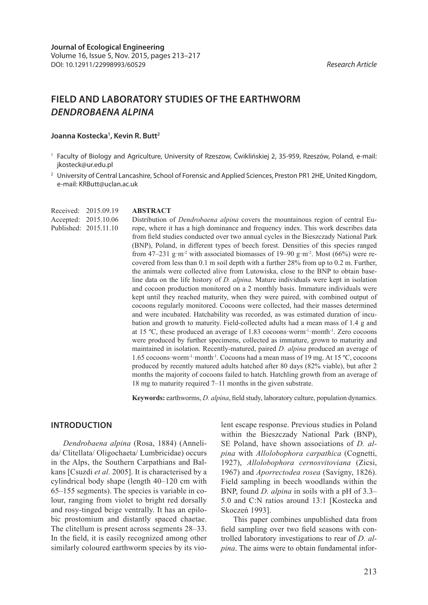# **FIELD AND LABORATORY STUDIES OF THE EARTHWORM**  *DENDROBAENA ALPINA*

**ABSTRACT**

#### **Joanna Kostecka1 , Kevin R. Butt2**

- <sup>1</sup> Faculty of Biology and Agriculture, University of Rzeszow, Ćwiklińskiej 2, 35-959, Rzeszów, Poland, e-mail: jkosteck@ur.edu.pl
- <sup>2</sup> University of Central Lancashire, School of Forensic and Applied Sciences, Preston PR1 2HE, United Kingdom, e-mail: KRButt@uclan.ac.uk

Received: 2015.09.19 Accepted: 2015.10.06 Published: 2015.11.10

Distribution of *Dendrobaena alpina* covers the mountainous region of central Europe, where it has a high dominance and frequency index. This work describes data from field studies conducted over two annual cycles in the Bieszczady National Park (BNP), Poland, in different types of beech forest. Densities of this species ranged from 47–231 g·m<sup>-2</sup> with associated biomasses of 19–90 g·m<sup>-2</sup>. Most (66%) were recovered from less than 0.1 m soil depth with a further 28% from up to 0.2 m. Further, the animals were collected alive from Lutowiska, close to the BNP to obtain baseline data on the life history of *D. alpina*. Mature individuals were kept in isolation and cocoon production monitored on a 2 monthly basis. Immature individuals were kept until they reached maturity, when they were paired, with combined output of cocoons regularly monitored. Cocoons were collected, had their masses determined and were incubated. Hatchability was recorded, as was estimated duration of incubation and growth to maturity. Field-collected adults had a mean mass of 1.4 g and at 15 ºC, these produced an average of 1.83 cocoons·worm-1·month-1. Zero cocoons were produced by further specimens, collected as immature, grown to maturity and maintained in isolation. Recently-matured, paired *D. alpina* produced an average of 1.65 cocoons·worm-1·month-1. Cocoons had a mean mass of 19 mg. At 15 ºC, cocoons produced by recently matured adults hatched after 80 days (82% viable), but after 2 months the majority of cocoons failed to hatch. Hatchling growth from an average of 18 mg to maturity required 7–11 months in the given substrate.

**Keywords:** earthworms, *D. alpina*, field study, laboratory culture, population dynamics.

#### **INTRODUCTION**

*Dendrobaena alpina* (Rosa, 1884) (Annelida/ Clitellata/ Oligochaeta/ Lumbricidae) occurs in the Alps, the Southern Carpathians and Balkans [Csuzdi *et al.* 2005]. It is characterised by a cylindrical body shape (length 40–120 cm with 65–155 segments). The species is variable in colour, ranging from violet to bright red dorsally and rosy-tinged beige ventrally. It has an epilobic prostomium and distantly spaced chaetae. The clitellum is present across segments 28–33. In the field, it is easily recognized among other similarly coloured earthworm species by its vio-

lent escape response. Previous studies in Poland within the Bieszczady National Park (BNP), SE Poland, have shown associations of *D. alpina* with *Allolobophora carpathica* (Cognetti, 1927), *Allolobophora cernosvitoviana* (Zicsi, 1967) and *Aporrectodea rosea* (Savigny, 1826). Field sampling in beech woodlands within the BNP, found *D. alpina* in soils with a pH of 3.3– 5.0 and C:N ratios around 13:1 [Kostecka and Skoczeń 1993].

This paper combines unpublished data from field sampling over two field seasons with controlled laboratory investigations to rear of *D. alpina*. The aims were to obtain fundamental infor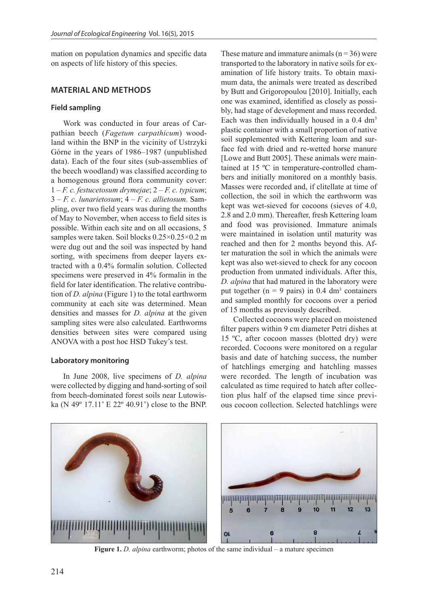mation on population dynamics and specific data on aspects of life history of this species.

## **MATERIAL AND METHODS**

## **Field sampling**

Work was conducted in four areas of Carpathian beech (*Fagetum carpathicum*) woodland within the BNP in the vicinity of Ustrzyki Górne in the years of 1986–1987 (unpublished data). Each of the four sites (sub-assemblies of the beech woodland) was classified according to a homogenous ground flora community cover: 1 – *F. c. festucetosum drymejae*; 2 – *F. c. typicum*; 3 – *F. c. lunarietosum*; 4 – *F. c. allietosum*. Sampling, over two field years was during the months of May to November, when access to field sites is possible. Within each site and on all occasions, 5 samples were taken. Soil blocks 0.25×0.25×0.2 m were dug out and the soil was inspected by hand sorting, with specimens from deeper layers extracted with a 0.4% formalin solution. Collected specimens were preserved in 4% formalin in the field for later identification. The relative contribution of *D. alpina* (Figure 1) to the total earthworm community at each site was determined. Mean densities and masses for *D. alpina* at the given sampling sites were also calculated. Earthworms densities between sites were compared using ANOVA with a post hoc HSD Tukey's test.

#### **Laboratory monitoring**

In June 2008, live specimens of *D. alpina* were collected by digging and hand-sorting of soil from beech-dominated forest soils near Lutowiska (N 49º 17.11' E 22º 40.91') close to the BNP. These mature and immature animals  $(n = 36)$  were transported to the laboratory in native soils for examination of life history traits. To obtain maximum data, the animals were treated as described by Butt and Grigoropoulou [2010]. Initially, each one was examined, identified as closely as possibly, had stage of development and mass recorded. Each was then individually housed in a  $0.4 \text{ dm}^3$ plastic container with a small proportion of native soil supplemented with Kettering loam and surface fed with dried and re-wetted horse manure [Lowe and Butt 2005]. These animals were maintained at 15 ºC in temperature-controlled chambers and initially monitored on a monthly basis. Masses were recorded and, if clitellate at time of collection, the soil in which the earthworm was kept was wet-sieved for cocoons (sieves of 4.0, 2.8 and 2.0 mm). Thereafter, fresh Kettering loam and food was provisioned. Immature animals were maintained in isolation until maturity was reached and then for 2 months beyond this. After maturation the soil in which the animals were kept was also wet-sieved to check for any cocoon production from unmated individuals. After this, *D. alpina* that had matured in the laboratory were put together ( $n = 9$  pairs) in 0.4 dm<sup>3</sup> containers and sampled monthly for cocoons over a period of 15 months as previously described.

Collected cocoons were placed on moistened filter papers within 9 cm diameter Petri dishes at 15 ºC, after cocoon masses (blotted dry) were recorded. Cocoons were monitored on a regular basis and date of hatching success, the number of hatchlings emerging and hatchling masses were recorded. The length of incubation was calculated as time required to hatch after collection plus half of the elapsed time since previous cocoon collection. Selected hatchlings were



**Figure 1.** *D. alpina* earthworm; photos of the same individual – a mature specimen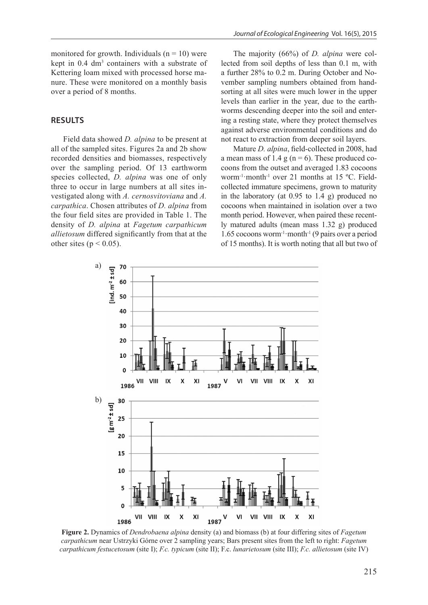monitored for growth. Individuals  $(n = 10)$  were kept in 0.4 dm<sup>3</sup> containers with a substrate of Kettering loam mixed with processed horse manure. These were monitored on a monthly basis over a period of 8 months.

#### **RESULTS**

Field data showed *D. alpina* to be present at all of the sampled sites. Figures 2a and 2b show recorded densities and biomasses, respectively over the sampling period. Of 13 earthworm species collected, *D. alpina* was one of only three to occur in large numbers at all sites investigated along with *A. cernosvitoviana* and *A. carpathica*. Chosen attributes of *D. alpina* from the four field sites are provided in Table 1. The density of *D. alpina* at *Fagetum carpathicum allietosum* differed significantly from that at the other sites ( $p < 0.05$ ).

The majority (66%) of *D. alpina* were collected from soil depths of less than 0.1 m, with a further 28% to 0.2 m. During October and November sampling numbers obtained from handsorting at all sites were much lower in the upper levels than earlier in the year, due to the earthworms descending deeper into the soil and entering a resting state, where they protect themselves against adverse environmental conditions and do not react to extraction from deeper soil layers.

Mature *D. alpina*, field-collected in 2008, had a mean mass of 1.4 g ( $n = 6$ ). These produced cocoons from the outset and averaged 1.83 cocoons worm-1·month-1 over 21 months at 15 ºC. Fieldcollected immature specimens, grown to maturity in the laboratory (at 0.95 to 1.4 g) produced no cocoons when maintained in isolation over a two month period. However, when paired these recently matured adults (mean mass 1.32 g) produced 1.65 cocoons worm<sup>-1</sup> month<sup>-1</sup> (9 pairs over a period of 15 months). It is worth noting that all but two of



**Figure 2.** Dynamics of *Dendrobaena alpina* density (a) and biomass (b) at four differing sites of *Fagetum carpathicum* near Ustrzyki Górne over 2 sampling years; Bars present sites from the left to right: *Fagetum carpathicum festucetosum* (site I); *F.c. typicum* (site II); F.c. *lunarietosum* (site III); *F.c. allietosum* (site IV)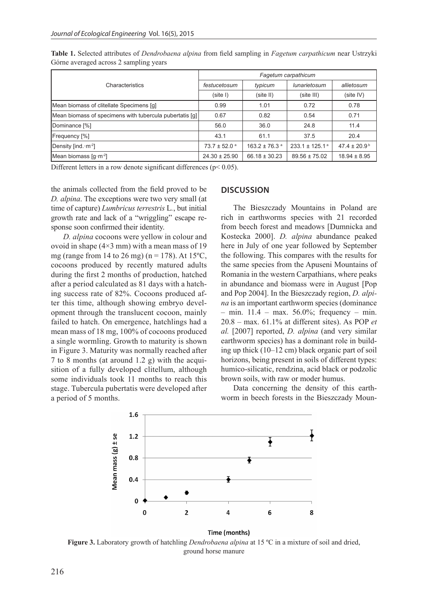| Characteristics                                         | Fagetum carpathicum          |                               |                                |                         |
|---------------------------------------------------------|------------------------------|-------------------------------|--------------------------------|-------------------------|
|                                                         | festucetosum                 | typicum                       | lunarietosum                   | allietosum              |
|                                                         | (site I)                     | (site II)                     | (site III)                     | (site IV)               |
| Mean biomass of clitellate Specimens [g]                | 0.99                         | 1.01                          | 0.72                           | 0.78                    |
| Mean biomass of specimens with tubercula pubertatis [g] | 0.67                         | 0.82                          | 0.54                           | 0.71                    |
| Dominance [%]                                           | 56.0                         | 36.0                          | 24.8                           | 11.4                    |
| <b>Frequency</b> [%]                                    | 43.1                         | 61.1                          | 37.5                           | 20.4                    |
| Density [ind. · m <sup>-2</sup> ]                       | $73.7 \pm 52.0$ <sup>a</sup> | $163.2 \pm 76.3$ <sup>a</sup> | $233.1 \pm 125.1$ <sup>a</sup> | $47.4 \pm 20.9^{\circ}$ |
| Mean biomass $\lceil q \cdot m^{-2} \rceil$             | $24.30 \pm 25.90$            | $66.18 \pm 30.23$             | $89.56 \pm 75.02$              | $18.94 \pm 8.95$        |

**Table 1.** Selected attributes of *Dendrobaena alpina* from field sampling in *Fagetum carpathicum* near Ustrzyki Górne averaged across 2 sampling years

Different letters in a row denote significant differences ( $p$ < 0.05).

the animals collected from the field proved to be *D. alpina*. The exceptions were two very small (at time of capture) *Lumbricus terrestris* L*.*, but initial growth rate and lack of a "wriggling" escape response soon confirmed their identity.

*D. alpina* cocoons were yellow in colour and ovoid in shape  $(4\times3$  mm) with a mean mass of 19 mg (range from 14 to 26 mg) ( $n = 178$ ). At 15<sup>o</sup>C, cocoons produced by recently matured adults during the first 2 months of production, hatched after a period calculated as 81 days with a hatching success rate of 82%. Cocoons produced after this time, although showing embryo development through the translucent cocoon, mainly failed to hatch. On emergence, hatchlings had a mean mass of 18 mg, 100% of cocoons produced a single wormling. Growth to maturity is shown in Figure 3. Maturity was normally reached after 7 to 8 months (at around 1.2 g) with the acquisition of a fully developed clitellum, although some individuals took 11 months to reach this stage. Tubercula pubertatis were developed after a period of 5 months.

#### **DISCUSSION**

The Bieszczady Mountains in Poland are rich in earthworms species with 21 recorded from beech forest and meadows [Dumnicka and Kostecka 2000]. *D. alpina* abundance peaked here in July of one year followed by September the following. This compares with the results for the same species from the Apuseni Mountains of Romania in the western Carpathians, where peaks in abundance and biomass were in August [Pop and Pop 2004]. In the Bieszczady region, *D. alpina* is an important earthworm species (dominance – min.  $11.4$  – max. 56.0%; frequency – min. 20.8 – max. 61.1% at different sites). As POP *et al.* [2007] reported, *D. alpina* (and very similar earthworm species) has a dominant role in building up thick (10–12 cm) black organic part of soil horizons, being present in soils of different types: humico-silicatic, rendzina, acid black or podzolic brown soils, with raw or moder humus.

Data concerning the density of this earthworm in beech forests in the Bieszczady Moun-



**Figure 3.** Laboratory growth of hatchling *Dendrobaena alpina* at 15 ºC in a mixture of soil and dried, ground horse manure